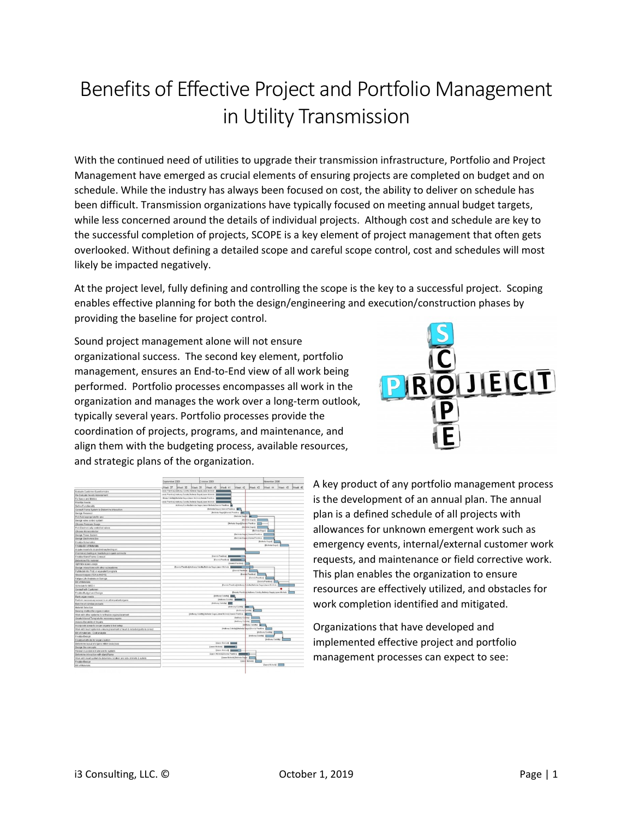## Benefits of Effective Project and Portfolio Management in Utility Transmission

With the continued need of utilities to upgrade their transmission infrastructure, Portfolio and Project Management have emerged as crucial elements of ensuring projects are completed on budget and on schedule. While the industry has always been focused on cost, the ability to deliver on schedule has been difficult. Transmission organizations have typically focused on meeting annual budget targets, while less concerned around the details of individual projects. Although cost and schedule are key to the successful completion of projects, SCOPE is a key element of project management that often gets overlooked. Without defining a detailed scope and careful scope control, cost and schedules will most likely be impacted negatively.

At the project level, fully defining and controlling the scope is the key to a successful project. Scoping enables effective planning for both the design/engineering and execution/construction phases by providing the baseline for project control.

Sound project management alone will not ensure organizational success. The second key element, portfolio management, ensures an End-to-End view of all work being performed. Portfolio processes encompasses all work in the organization and manages the work over a long-term outlook, typically several years. Portfolio processes provide the coordination of projects, programs, and maintenance, and align them with the budgeting process, available resources, and strategic plans of the organization.





A key product of any portfolio management process is the development of an annual plan. The annual plan is a defined schedule of all projects with allowances for unknown emergent work such as emergency events, internal/external customer work requests, and maintenance or field corrective work. This plan enables the organization to ensure resources are effectively utilized, and obstacles for work completion identified and mitigated.

Organizations that have developed and implemented effective project and portfolio management processes can expect to see: